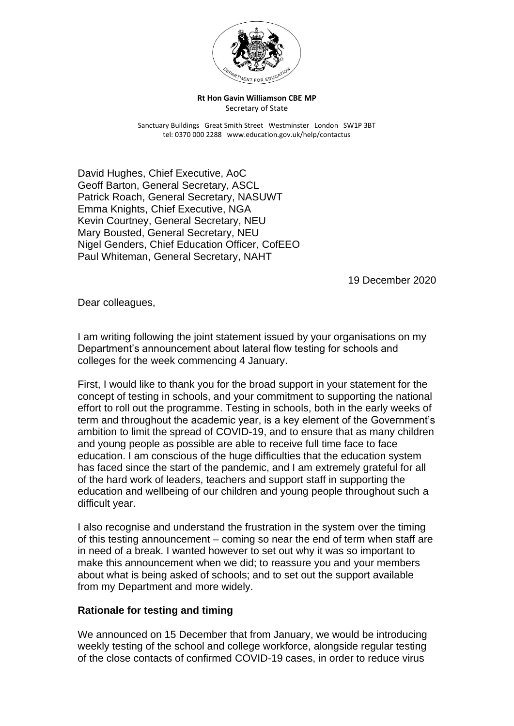

**Rt Hon Gavin Williamson CBE MP** Secretary of State

Sanctuary Buildings Great Smith Street Westminster London SW1P 3BT tel: 0370 000 2288 www.education.gov.uk/help/contactus

David Hughes, Chief Executive, AoC Geoff Barton, General Secretary, ASCL Patrick Roach, General Secretary, NASUWT Emma Knights, Chief Executive, NGA Kevin Courtney, General Secretary, NEU Mary Bousted, General Secretary, NEU Nigel Genders, Chief Education Officer, CofEEO Paul Whiteman, General Secretary, NAHT

19 December 2020

Dear colleagues,

I am writing following the joint statement issued by your organisations on my Department's announcement about lateral flow testing for schools and colleges for the week commencing 4 January.

First, I would like to thank you for the broad support in your statement for the concept of testing in schools, and your commitment to supporting the national effort to roll out the programme. Testing in schools, both in the early weeks of term and throughout the academic year, is a key element of the Government's ambition to limit the spread of COVID-19, and to ensure that as many children and young people as possible are able to receive full time face to face education. I am conscious of the huge difficulties that the education system has faced since the start of the pandemic, and I am extremely grateful for all of the hard work of leaders, teachers and support staff in supporting the education and wellbeing of our children and young people throughout such a difficult year.

I also recognise and understand the frustration in the system over the timing of this testing announcement – coming so near the end of term when staff are in need of a break. I wanted however to set out why it was so important to make this announcement when we did; to reassure you and your members about what is being asked of schools; and to set out the support available from my Department and more widely.

## **Rationale for testing and timing**

We announced on 15 December that from January, we would be introducing weekly testing of the school and college workforce, alongside regular testing of the close contacts of confirmed COVID-19 cases, in order to reduce virus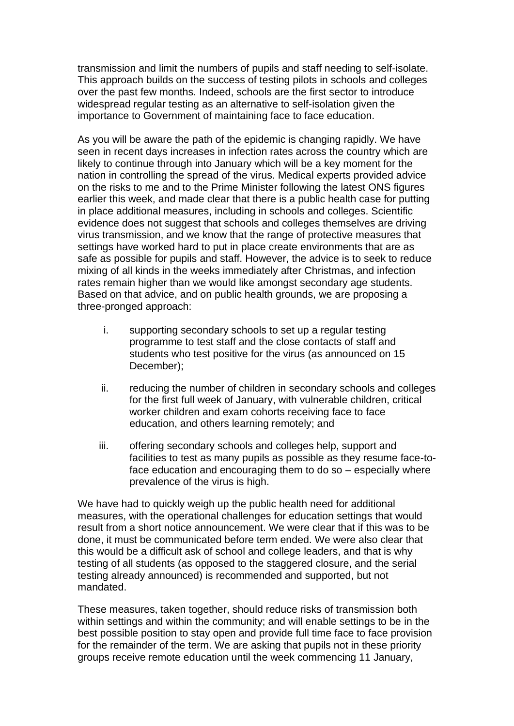transmission and limit the numbers of pupils and staff needing to self-isolate. This approach builds on the success of testing pilots in schools and colleges over the past few months. Indeed, schools are the first sector to introduce widespread regular testing as an alternative to self-isolation given the importance to Government of maintaining face to face education.

As you will be aware the path of the epidemic is changing rapidly. We have seen in recent days increases in infection rates across the country which are likely to continue through into January which will be a key moment for the nation in controlling the spread of the virus. Medical experts provided advice on the risks to me and to the Prime Minister following the latest ONS figures earlier this week, and made clear that there is a public health case for putting in place additional measures, including in schools and colleges. Scientific evidence does not suggest that schools and colleges themselves are driving virus transmission, and we know that the range of protective measures that settings have worked hard to put in place create environments that are as safe as possible for pupils and staff. However, the advice is to seek to reduce mixing of all kinds in the weeks immediately after Christmas, and infection rates remain higher than we would like amongst secondary age students. Based on that advice, and on public health grounds, we are proposing a three-pronged approach:

- i. supporting secondary schools to set up a regular testing programme to test staff and the close contacts of staff and students who test positive for the virus (as announced on 15 December);
- ii. reducing the number of children in secondary schools and colleges for the first full week of January, with vulnerable children, critical worker children and exam cohorts receiving face to face education, and others learning remotely; and
- iii. offering secondary schools and colleges help, support and facilities to test as many pupils as possible as they resume face-toface education and encouraging them to do so – especially where prevalence of the virus is high.

We have had to quickly weigh up the public health need for additional measures, with the operational challenges for education settings that would result from a short notice announcement. We were clear that if this was to be done, it must be communicated before term ended. We were also clear that this would be a difficult ask of school and college leaders, and that is why testing of all students (as opposed to the staggered closure, and the serial testing already announced) is recommended and supported, but not mandated.

These measures, taken together, should reduce risks of transmission both within settings and within the community; and will enable settings to be in the best possible position to stay open and provide full time face to face provision for the remainder of the term. We are asking that pupils not in these priority groups receive remote education until the week commencing 11 January,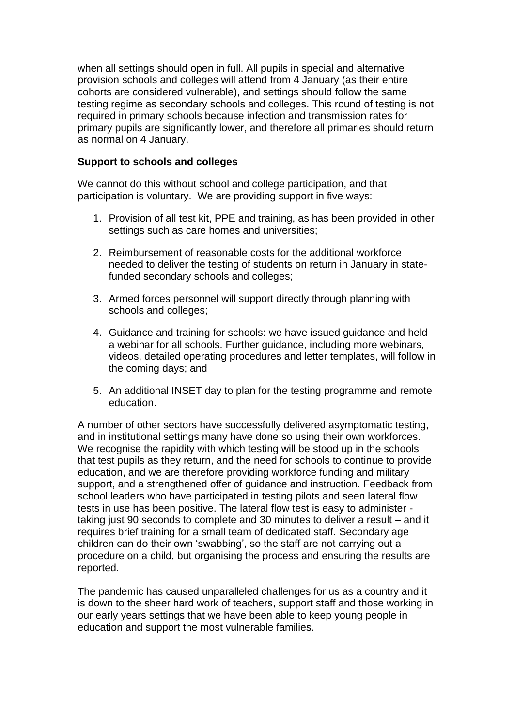when all settings should open in full. All pupils in special and alternative provision schools and colleges will attend from 4 January (as their entire cohorts are considered vulnerable), and settings should follow the same testing regime as secondary schools and colleges. This round of testing is not required in primary schools because infection and transmission rates for primary pupils are significantly lower, and therefore all primaries should return as normal on 4 January.

## **Support to schools and colleges**

We cannot do this without school and college participation, and that participation is voluntary. We are providing support in five ways:

- 1. Provision of all test kit, PPE and training, as has been provided in other settings such as care homes and universities;
- 2. Reimbursement of reasonable costs for the additional workforce needed to deliver the testing of students on return in January in statefunded secondary schools and colleges;
- 3. Armed forces personnel will support directly through planning with schools and colleges;
- 4. Guidance and training for schools: we have issued guidance and held a webinar for all schools. Further guidance, including more webinars, videos, detailed operating procedures and letter templates, will follow in the coming days; and
- 5. An additional INSET day to plan for the testing programme and remote education.

A number of other sectors have successfully delivered asymptomatic testing, and in institutional settings many have done so using their own workforces. We recognise the rapidity with which testing will be stood up in the schools that test pupils as they return, and the need for schools to continue to provide education, and we are therefore providing workforce funding and military support, and a strengthened offer of guidance and instruction. Feedback from school leaders who have participated in testing pilots and seen lateral flow tests in use has been positive. The lateral flow test is easy to administer taking just 90 seconds to complete and 30 minutes to deliver a result – and it requires brief training for a small team of dedicated staff. Secondary age children can do their own 'swabbing', so the staff are not carrying out a procedure on a child, but organising the process and ensuring the results are reported.

The pandemic has caused unparalleled challenges for us as a country and it is down to the sheer hard work of teachers, support staff and those working in our early years settings that we have been able to keep young people in education and support the most vulnerable families.